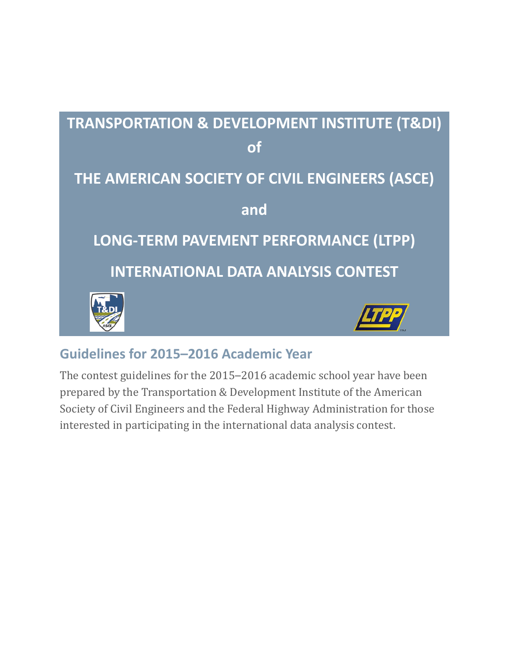

# **Guidelines for 2015–2016 Academic Year**

The contest guidelines for the 2015–2016 academic school year have been prepared by the Transportation & Development Institute of the American Society of Civil Engineers and the Federal Highway Administration for those interested in participating in the international data analysis contest.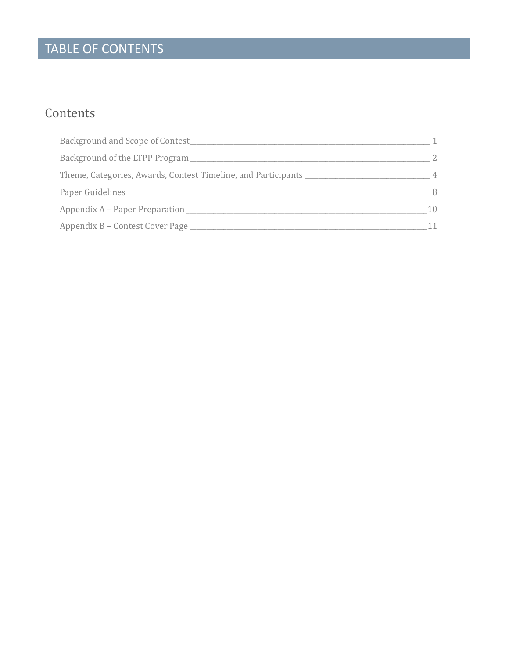# TABLE OF CONTENTS

# Contents

| Background and Scope of Contest                               |    |
|---------------------------------------------------------------|----|
| Background of the LTPP Program                                |    |
| Theme, Categories, Awards, Contest Timeline, and Participants |    |
|                                                               | 8  |
| Appendix A – Paper Preparation                                | 10 |
| Appendix B – Contest Cover Page                               |    |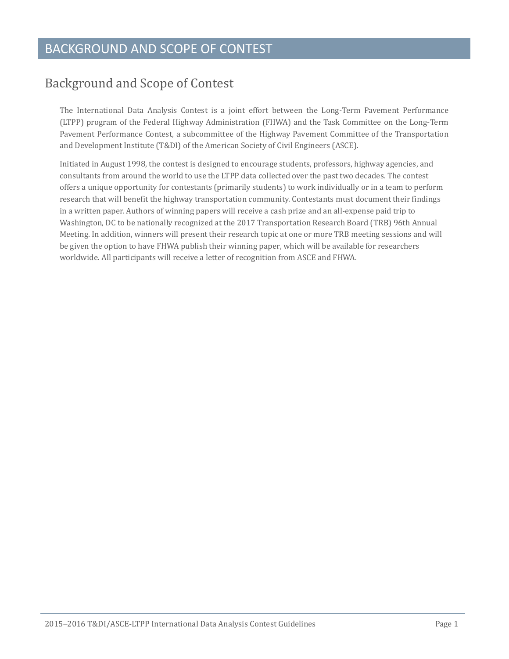# <span id="page-2-0"></span>Background and Scope of Contest

The International Data Analysis Contest is a joint effort between the Long-Term Pavement Performance (LTPP) program of the Federal Highway Administration (FHWA) and the Task Committee on the Long-Term Pavement Performance Contest, a subcommittee of the Highway Pavement Committee of the Transportation and Development Institute (T&DI) of the American Society of Civil Engineers (ASCE).

Initiated in August 1998, the contest is designed to encourage students, professors, highway agencies, and consultants from around the world to use the LTPP data collected over the past two decades. The contest offers a unique opportunity for contestants (primarily students) to work individually or in a team to perform research that will benefit the highway transportation community. Contestants must document their findings in a written paper. Authors of winning papers will receive a cash prize and an all-expense paid trip to Washington, DC to be nationally recognized at the 2017 Transportation Research Board (TRB) 96th Annual Meeting. In addition, winners will present their research topic at one or more TRB meeting sessions and will be given the option to have FHWA publish their winning paper, which will be available for researchers worldwide. All participants will receive a letter of recognition from ASCE and FHWA.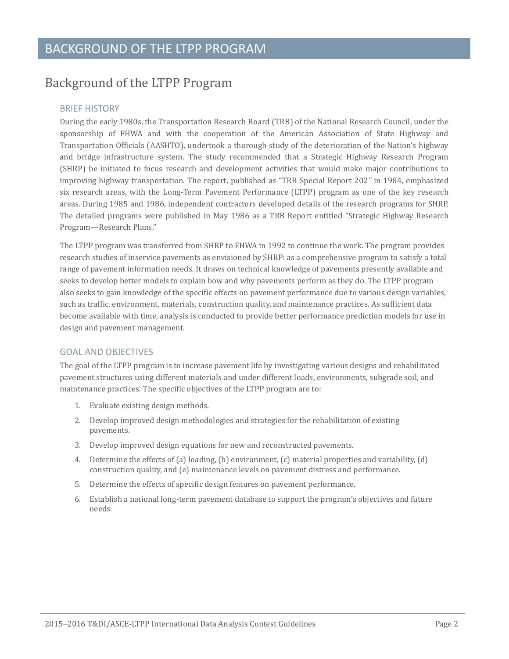# <span id="page-3-0"></span>Background of the LTPP Program

#### BRIEF HISTORY

During the early 1980s, the Transportation Research Board (TRB) of the National Research Council, under the sponsorship of FHWA and with the cooperation of the American Association of State Highway and Transportation Officials (AASHTO), undertook a thorough study of the deterioration of the Nation's highway and bridge infrastructure system. The study recommended that a Strategic Highway Research Program (SHRP) be initiated to focus research and development activities that would make major contributions to improving highway transportation. The report, published as "TRB Special Report 202*"* in 1984, emphasized six research areas, with the Long-Term Pavement Performance (LTPP) program as one of the key research areas. During 1985 and 1986, independent contractors developed details of the research programs for SHRP. The detailed programs were published in May 1986 as a TRB Report entitled "Strategic Highway Research Program—Research Plans."

The LTPP program was transferred from SHRP to FHWA in 1992 to continue the work. The program provides research studies of inservice pavements as envisioned by SHRP: as a comprehensive program to satisfy a total range of pavement information needs. It draws on technical knowledge of pavements presently available and seeks to develop better models to explain how and why pavements perform as they do. The LTPP program also seeks to gain knowledge of the specific effects on pavement performance due to various design variables, such as traffic, environment, materials, construction quality, and maintenance practices. As sufficient data become available with time, analysis is conducted to provide better performance prediction models for use in design and pavement management.

### GOAL AND OBJECTIVES

The goal of the LTPP program is to increase pavement life by investigating various designs and rehabilitated pavement structures using different materials and under different loads, environments, subgrade soil, and maintenance practices. The specific objectives of the LTPP program are to:

- 1. Evaluate existing design methods.
- 2. Develop improved design methodologies and strategies for the rehabilitation of existing pavements.
- 3. Develop improved design equations for new and reconstructed pavements.
- 4. Determine the effects of (a) loading, (b) environment, (c) material properties and variability, (d) construction quality, and (e) maintenance levels on pavement distress and performance.
- 5. Determine the effects of specific design features on pavement performance.
- 6. Establish a national long-term pavement database to support the program's objectives and future needs.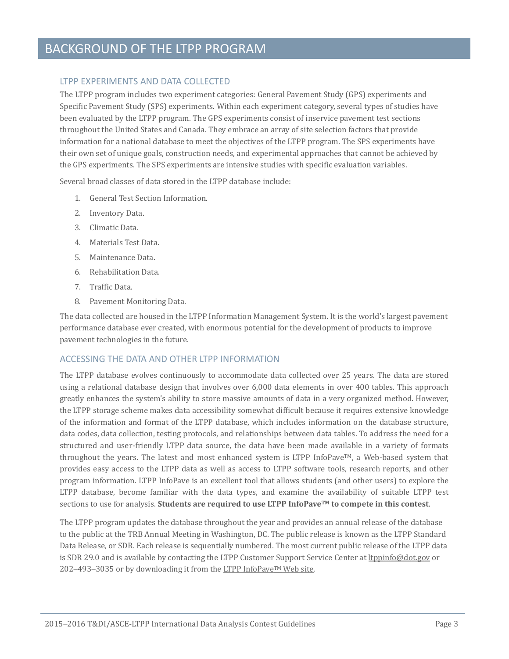# BACKGROUND OF THE LTPP PROGRAM

#### LTPP EXPERIMENTS AND DATA COLLECTED

The LTPP program includes two experiment categories: General Pavement Study (GPS) experiments and Specific Pavement Study (SPS) experiments. Within each experiment category, several types of studies have been evaluated by the LTPP program. The GPS experiments consist of inservice pavement test sections throughout the United States and Canada. They embrace an array of site selection factors that provide information for a national database to meet the objectives of the LTPP program. The SPS experiments have their own set of unique goals, construction needs, and experimental approaches that cannot be achieved by the GPS experiments. The SPS experiments are intensive studies with specific evaluation variables.

Several broad classes of data stored in the LTPP database include:

- 1. General Test Section Information.
- 2. Inventory Data.
- 3. Climatic Data.
- 4. Materials Test Data.
- 5. Maintenance Data.
- 6. Rehabilitation Data.
- 7. Traffic Data.
- 8. Pavement Monitoring Data.

The data collected are housed in the LTPP Information Management System. It is the world's largest pavement performance database ever created, with enormous potential for the development of products to improve pavement technologies in the future.

### ACCESSING THE DATA AND OTHER LTPP INFORMATION

The LTPP database evolves continuously to accommodate data collected over 25 years. The data are stored using a relational database design that involves over 6,000 data elements in over 400 tables. This approach greatly enhances the system's ability to store massive amounts of data in a very organized method. However, the LTPP storage scheme makes data accessibility somewhat difficult because it requires extensive knowledge of the information and format of the LTPP database, which includes information on the database structure, data codes, data collection, testing protocols, and relationships between data tables. To address the need for a structured and user-friendly LTPP data source, the data have been made available in a variety of formats throughout the years. The latest and most enhanced system is LTPP InfoPave™, a Web-based system that provides easy access to the LTPP data as well as access to LTPP software tools, research reports, and other program information. LTPP InfoPave is an excellent tool that allows students (and other users) to explore the LTPP database, become familiar with the data types, and examine the availability of suitable LTPP test sections to use for analysis. **Students are required to use LTPP InfoPaveTM to compete in this contest**.

The LTPP program updates the database throughout the year and provides an annual release of the database to the public at the TRB Annual Meeting in Washington, DC. The public release is known as the LTPP Standard Data Release, or SDR. Each release is sequentially numbered. The most current public release of the LTPP data is SDR 29.0 and is available by contacting the LTPP Customer Support Service Center a[t ltppinfo@dot.gov](mailto:ltppinfo@dot.gov) or 202–493–3035 or by downloading it from the LTPP InfoPave™ Web site.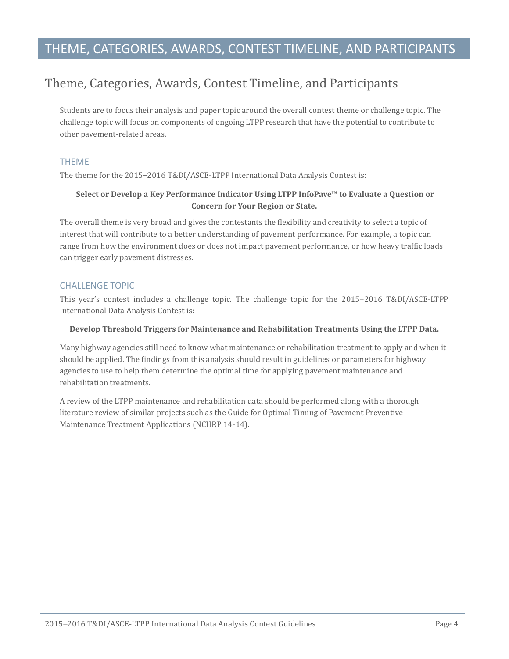# THEME, CATEGORIES, AWARDS, CONTEST TIMELINE, AND PARTICIPANTS

# <span id="page-5-0"></span>Theme, Categories, Awards, Contest Timeline, and Participants

Students are to focus their analysis and paper topic around the overall contest theme or challenge topic. The challenge topic will focus on components of ongoing LTPP research that have the potential to contribute to other pavement-related areas.

#### THEME

The theme for the 2015–2016 T&DI/ASCE-LTPP International Data Analysis Contest is:

#### **Select or Develop a Key Performance Indicator Using LTPP InfoPave™ to Evaluate a Question or Concern for Your Region or State.**

The overall theme is very broad and gives the contestants the flexibility and creativity to select a topic of interest that will contribute to a better understanding of pavement performance. For example, a topic can range from how the environment does or does not impact pavement performance, or how heavy traffic loads can trigger early pavement distresses.

#### CHALLENGE TOPIC

This year's contest includes a challenge topic. The challenge topic for the 2015–2016 T&DI/ASCE-LTPP International Data Analysis Contest is:

#### **Develop Threshold Triggers for Maintenance and Rehabilitation Treatments Using the LTPP Data.**

Many highway agencies still need to know what maintenance or rehabilitation treatment to apply and when it should be applied. The findings from this analysis should result in guidelines or parameters for highway agencies to use to help them determine the optimal time for applying pavement maintenance and rehabilitation treatments.

A review of the LTPP maintenance and rehabilitation data should be performed along with a thorough literature review of similar projects such as the Guide for Optimal Timing of Pavement Preventive Maintenance Treatment Applications (NCHRP 14-14).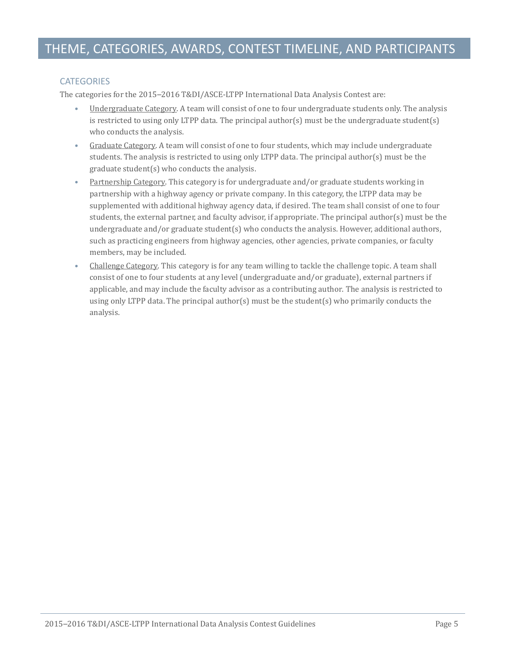### **CATEGORIES**

The categories for the 2015–2016 T&DI/ASCE-LTPP International Data Analysis Contest are:

- Undergraduate Category. A team will consist of one to four undergraduate students only. The analysis is restricted to using only LTPP data. The principal author(s) must be the undergraduate student(s) who conducts the analysis.
- Graduate Category. A team will consist of one to four students, which may include undergraduate students. The analysis is restricted to using only LTPP data. The principal author(s) must be the graduate student(s) who conducts the analysis.
- Partnership Category. This category is for undergraduate and/or graduate students working in partnership with a highway agency or private company. In this category, the LTPP data may be supplemented with additional highway agency data, if desired. The team shall consist of one to four students, the external partner, and faculty advisor, if appropriate. The principal author(s) must be the undergraduate and/or graduate student(s) who conducts the analysis. However, additional authors, such as practicing engineers from highway agencies, other agencies, private companies, or faculty members, may be included.
- Challenge Category. This category is for any team willing to tackle the challenge topic. A team shall consist of one to four students at any level (undergraduate and/or graduate), external partners if applicable, and may include the faculty advisor as a contributing author. The analysis is restricted to using only LTPP data. The principal author(s) must be the student(s) who primarily conducts the analysis.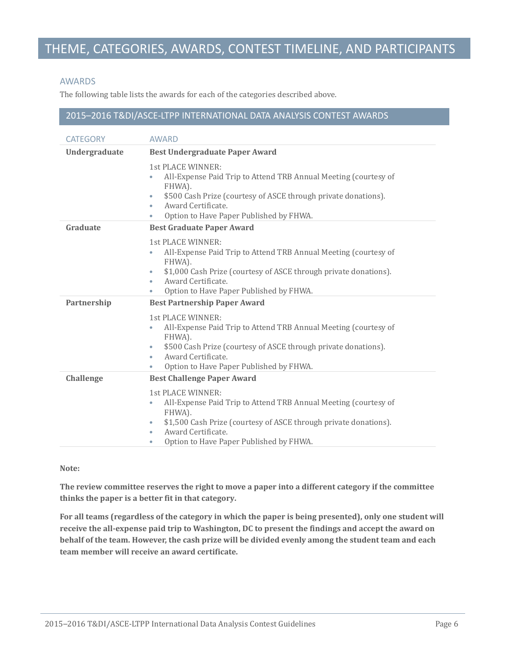# THEME, CATEGORIES, AWARDS, CONTEST TIMELINE, AND PARTICIPANTS

#### AWARDS

The following table lists the awards for each of the categories described above.

#### 2015–2016 T&DI/ASCE-LTPP INTERNATIONAL DATA ANALYSIS CONTEST AWARDS

| <b>CATEGORY</b>  | <b>AWARD</b>                                                                                                                                                                                                                                                                            |  |
|------------------|-----------------------------------------------------------------------------------------------------------------------------------------------------------------------------------------------------------------------------------------------------------------------------------------|--|
| Undergraduate    | <b>Best Undergraduate Paper Award</b>                                                                                                                                                                                                                                                   |  |
|                  | 1st PLACE WINNER:<br>All-Expense Paid Trip to Attend TRB Annual Meeting (courtesy of<br>FHWA).<br>\$500 Cash Prize (courtesy of ASCE through private donations).<br>$\bullet$<br>Award Certificate.<br>٠<br>Option to Have Paper Published by FHWA.<br>۰                                |  |
| Graduate         | <b>Best Graduate Paper Award</b>                                                                                                                                                                                                                                                        |  |
|                  | 1st PLACE WINNER:<br>All-Expense Paid Trip to Attend TRB Annual Meeting (courtesy of<br>FHWA).<br>\$1,000 Cash Prize (courtesy of ASCE through private donations).<br>$\bullet$<br>Award Certificate.<br>۰<br>Option to Have Paper Published by FHWA.                                   |  |
| Partnership      | <b>Best Partnership Paper Award</b>                                                                                                                                                                                                                                                     |  |
|                  | 1st PLACE WINNER:<br>All-Expense Paid Trip to Attend TRB Annual Meeting (courtesy of<br>$\bullet$<br>FHWA).<br>\$500 Cash Prize (courtesy of ASCE through private donations).<br>$\bullet$<br>Award Certificate.<br>$\bullet$<br>Option to Have Paper Published by FHWA.<br>٠           |  |
| <b>Challenge</b> | <b>Best Challenge Paper Award</b>                                                                                                                                                                                                                                                       |  |
|                  | 1st PLACE WINNER:<br>All-Expense Paid Trip to Attend TRB Annual Meeting (courtesy of<br>$\bullet$<br>FHWA).<br>\$1,500 Cash Prize (courtesy of ASCE through private donations).<br>$\bullet$<br>Award Certificate.<br>$\bullet$<br>Option to Have Paper Published by FHWA.<br>$\bullet$ |  |

#### **Note:**

**The review committee reserves the right to move a paper into a different category if the committee thinks the paper is a better fit in that category.**

**For all teams (regardless of the category in which the paper is being presented), only one student will receive the all-expense paid trip to Washington, DC to present the findings and accept the award on behalf of the team. However, the cash prize will be divided evenly among the student team and each team member will receive an award certificate.**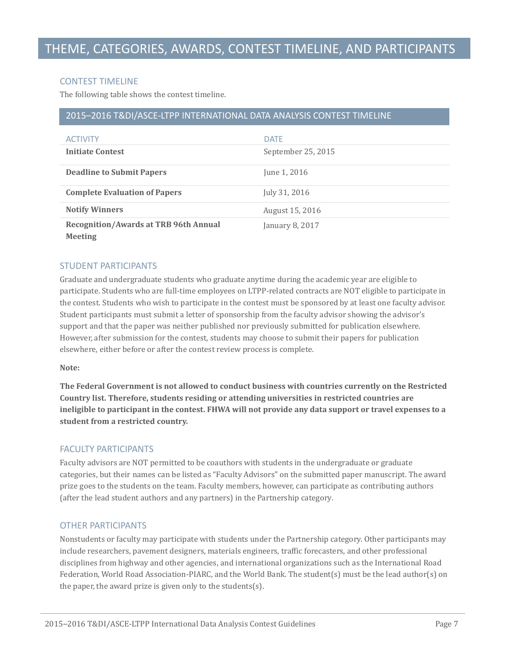#### CONTEST TIMELINE

The following table shows the contest timeline.

#### 2015–2016 T&DI/ASCE-LTPP INTERNATIONAL DATA ANALYSIS CONTEST TIMELINE

| <b>ACTIVITY</b>                                                | <b>DATF</b>        |
|----------------------------------------------------------------|--------------------|
| <b>Initiate Contest</b>                                        | September 25, 2015 |
| <b>Deadline to Submit Papers</b>                               | June 1, 2016       |
| <b>Complete Evaluation of Papers</b>                           | July 31, 2016      |
| <b>Notify Winners</b>                                          | August 15, 2016    |
| <b>Recognition/Awards at TRB 96th Annual</b><br><b>Meeting</b> | January 8, 2017    |

#### STUDENT PARTICIPANTS

Graduate and undergraduate students who graduate anytime during the academic year are eligible to participate. Students who are full-time employees on LTPP-related contracts are NOT eligible to participate in the contest. Students who wish to participate in the contest must be sponsored by at least one faculty advisor. Student participants must submit a letter of sponsorship from the faculty advisor showing the advisor's support and that the paper was neither published nor previously submitted for publication elsewhere. However, after submission for the contest, students may choose to submit their papers for publication elsewhere, either before or after the contest review process is complete.

#### **Note:**

**The Federal Government is not allowed to conduct business with countries currently on the Restricted Country list. Therefore, students residing or attending universities in restricted countries are ineligible to participant in the contest. FHWA will not provide any data support or travel expenses to a student from a restricted country.**

#### FACULTY PARTICIPANTS

Faculty advisors are NOT permitted to be coauthors with students in the undergraduate or graduate categories, but their names can be listed as "Faculty Advisors" on the submitted paper manuscript. The award prize goes to the students on the team. Faculty members, however, can participate as contributing authors (after the lead student authors and any partners) in the Partnership category.

### OTHER PARTICIPANTS

Nonstudents or faculty may participate with students under the Partnership category. Other participants may include researchers, pavement designers, materials engineers, traffic forecasters, and other professional disciplines from highway and other agencies, and international organizations such as the International Road Federation, World Road Association-PIARC, and the World Bank. The student(s) must be the lead author(s) on the paper, the award prize is given only to the students(s).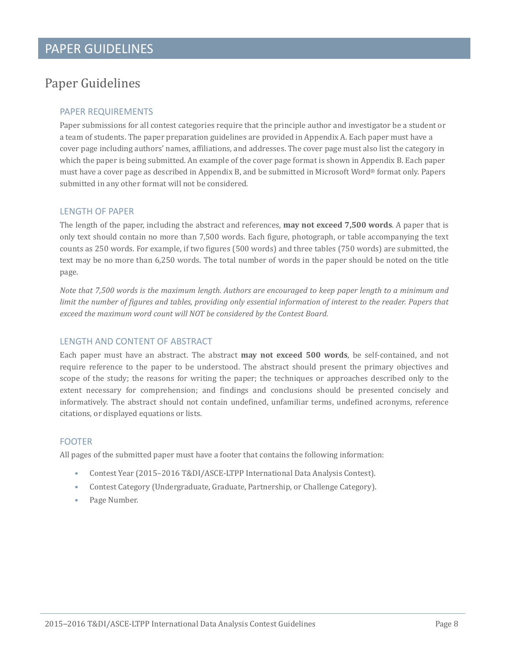# <span id="page-9-0"></span>Paper Guidelines

### PAPER REQUIREMENTS

Paper submissions for all contest categories require that the principle author and investigator be a student or a team of students. The paper preparation guidelines are provided in Appendix A. Each paper must have a cover page including authors' names, affiliations, and addresses. The cover page must also list the category in which the paper is being submitted. An example of the cover page format is shown in Appendix B. Each paper must have a cover page as described in Appendix B, and be submitted in Microsoft Word® format only. Papers submitted in any other format will not be considered.

#### LENGTH OF PAPER

The length of the paper, including the abstract and references, **may not exceed 7,500 words**. A paper that is only text should contain no more than 7,500 words. Each figure, photograph, or table accompanying the text counts as 250 words. For example, if two figures (500 words) and three tables (750 words) are submitted, the text may be no more than 6,250 words. The total number of words in the paper should be noted on the title page.

*Note that 7,500 words is the maximum length. Authors are encouraged to keep paper length to a minimum and limit the number of figures and tables, providing only essential information of interest to the reader. Papers that exceed the maximum word count will NOT be considered by the Contest Board.*

### LENGTH AND CONTENT OF ABSTRACT

Each paper must have an abstract. The abstract **may not exceed 500 words**, be self-contained, and not require reference to the paper to be understood. The abstract should present the primary objectives and scope of the study; the reasons for writing the paper; the techniques or approaches described only to the extent necessary for comprehension; and findings and conclusions should be presented concisely and informatively. The abstract should not contain undefined, unfamiliar terms, undefined acronyms, reference citations, or displayed equations or lists.

### FOOTER

All pages of the submitted paper must have a footer that contains the following information:

- Contest Year (2015–2016 T&DI/ASCE-LTPP International Data Analysis Contest).
- Contest Category (Undergraduate, Graduate, Partnership, or Challenge Category).
- Page Number.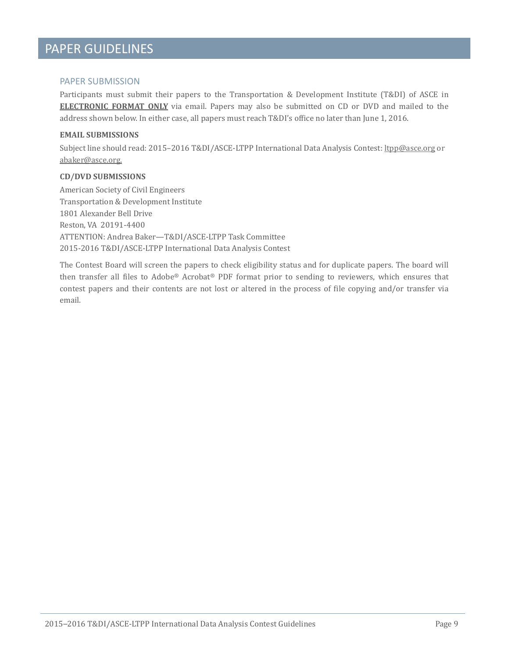# PAPER GUIDELINES

#### PAPER SUBMISSION

Participants must submit their papers to the Transportation & Development Institute (T&DI) of ASCE in **ELECTRONIC FORMAT ONLY** via email. Papers may also be submitted on CD or DVD and mailed to the address shown below. In either case, all papers must reach T&DI's office no later than June 1, 2016.

#### **EMAIL SUBMISSIONS**

Subject line should read: 2015–2016 T&DI/ASCE-LTPP International Data Analysis Contest: [ltpp@asce.org](mailto:echen@asce.org) or [abaker@asce.org.](mailto:abaker@asce.org)

#### **CD/DVD SUBMISSIONS**

American Society of Civil Engineers Transportation & Development Institute 1801 Alexander Bell Drive Reston, VA 20191-4400 ATTENTION: Andrea Baker—T&DI/ASCE-LTPP Task Committee 2015-2016 T&DI/ASCE-LTPP International Data Analysis Contest

The Contest Board will screen the papers to check eligibility status and for duplicate papers. The board will then transfer all files to Adobe® Acrobat® PDF format prior to sending to reviewers, which ensures that contest papers and their contents are not lost or altered in the process of file copying and/or transfer via email.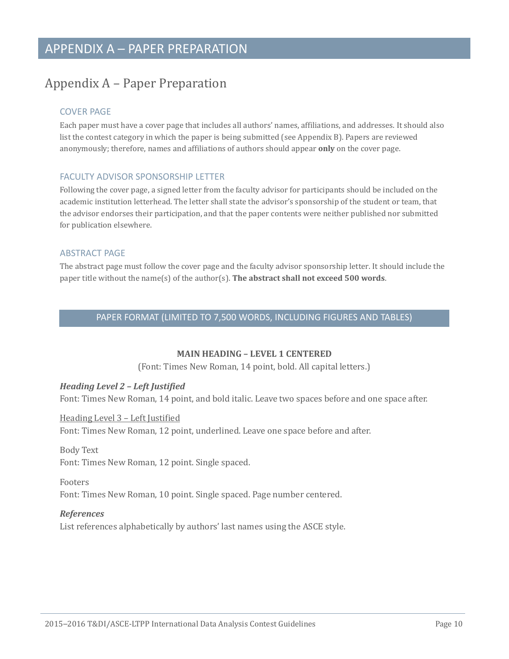# <span id="page-11-0"></span>Appendix A – Paper Preparation

## COVER PAGE

Each paper must have a cover page that includes all authors' names, affiliations, and addresses. It should also list the contest category in which the paper is being submitted (see Appendix B). Papers are reviewed anonymously; therefore, names and affiliations of authors should appear **only** on the cover page.

### FACULTY ADVISOR SPONSORSHIP LETTER

Following the cover page, a signed letter from the faculty advisor for participants should be included on the academic institution letterhead. The letter shall state the advisor's sponsorship of the student or team, that the advisor endorses their participation, and that the paper contents were neither published nor submitted for publication elsewhere.

### ABSTRACT PAGE

The abstract page must follow the cover page and the faculty advisor sponsorship letter. It should include the paper title without the name(s) of the author(s). **The abstract shall not exceed 500 words**.

### PAPER FORMAT (LIMITED TO 7,500 WORDS, INCLUDING FIGURES AND TABLES)

### **MAIN HEADING – LEVEL 1 CENTERED**

(Font: Times New Roman, 14 point, bold. All capital letters.)

## *Heading Level 2 – Left Justified*

Font: Times New Roman, 14 point, and bold italic. Leave two spaces before and one space after.

### Heading Level 3 – Left Justified

Font: Times New Roman, 12 point, underlined. Leave one space before and after.

#### Body Text

Font: Times New Roman, 12 point. Single spaced.

### Footers

Font: Times New Roman, 10 point. Single spaced. Page number centered.

### *References*

List references alphabetically by authors' last names using the ASCE style.